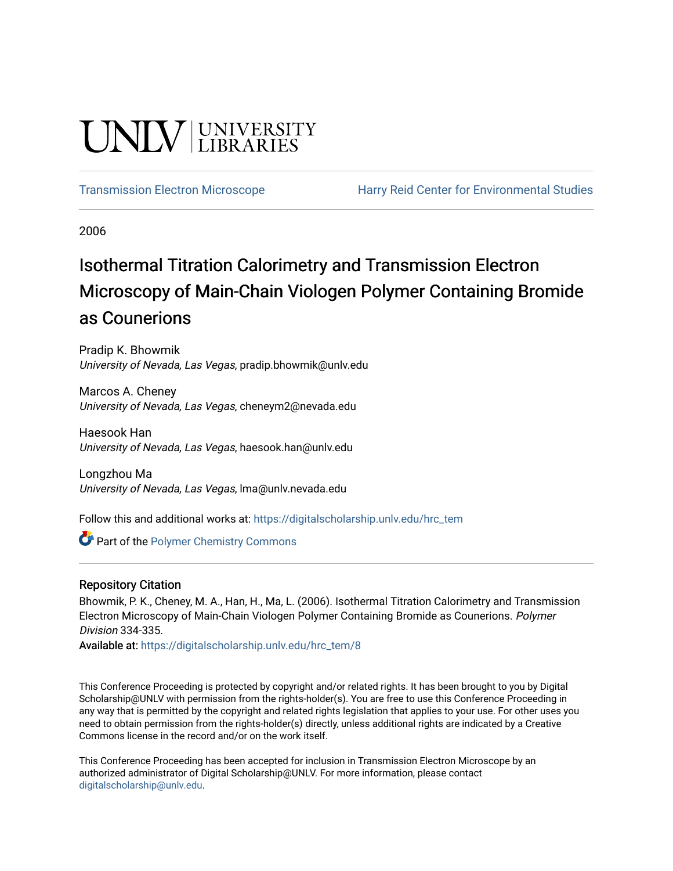# **UNIVERSITY**

[Transmission Electron Microscope](https://digitalscholarship.unlv.edu/hrc_tem) [Harry Reid Center for Environmental Studies](https://digitalscholarship.unlv.edu/hrc) 

2006

## Isothermal Titration Calorimetry and Transmission Electron Microscopy of Main-Chain Viologen Polymer Containing Bromide as Counerions

Pradip K. Bhowmik University of Nevada, Las Vegas, pradip.bhowmik@unlv.edu

Marcos A. Cheney University of Nevada, Las Vegas, cheneym2@nevada.edu

Haesook Han University of Nevada, Las Vegas, haesook.han@unlv.edu

Longzhou Ma University of Nevada, Las Vegas, lma@unlv.nevada.edu

Follow this and additional works at: [https://digitalscholarship.unlv.edu/hrc\\_tem](https://digitalscholarship.unlv.edu/hrc_tem?utm_source=digitalscholarship.unlv.edu%2Fhrc_tem%2F8&utm_medium=PDF&utm_campaign=PDFCoverPages) 

**Part of the Polymer Chemistry Commons** 

### Repository Citation

Bhowmik, P. K., Cheney, M. A., Han, H., Ma, L. (2006). Isothermal Titration Calorimetry and Transmission Electron Microscopy of Main-Chain Viologen Polymer Containing Bromide as Counerions. Polymer Division 334-335.

Available at: [https://digitalscholarship.unlv.edu/hrc\\_tem/8](https://digitalscholarship.unlv.edu/hrc_tem/8) 

This Conference Proceeding is protected by copyright and/or related rights. It has been brought to you by Digital Scholarship@UNLV with permission from the rights-holder(s). You are free to use this Conference Proceeding in any way that is permitted by the copyright and related rights legislation that applies to your use. For other uses you need to obtain permission from the rights-holder(s) directly, unless additional rights are indicated by a Creative Commons license in the record and/or on the work itself.

This Conference Proceeding has been accepted for inclusion in Transmission Electron Microscope by an authorized administrator of Digital Scholarship@UNLV. For more information, please contact [digitalscholarship@unlv.edu](mailto:digitalscholarship@unlv.edu).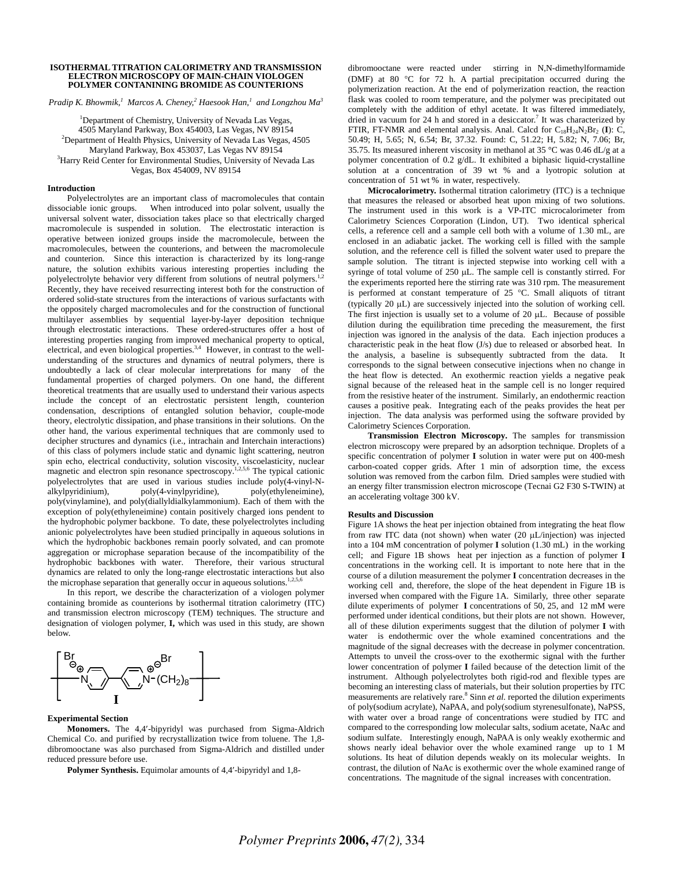#### **ISOTHERMAL TITRATION CALORIMETRY AND TRANSMISSION ELECTRON MICROSCOPY OF MAIN-CHAIN VIOLOGEN POLYMER CONTANINING BROMIDE AS COUNTERIONS**

*Pradip K. Bhowmik,<sup>1</sup> Marcos A. Cheney,<sup>2</sup> Haesook Han,<sup>1</sup> and Longzhou Ma<sup>3</sup>* 

<sup>1</sup>Department of Chemistry, University of Nevada Las Vegas, 4505 Maryland Parkway, Box 454003, Las Vegas, NV 89154 2 <sup>2</sup>Department of Health Physics, University of Nevada Las Vegas, 4505 Maryland Parkway, Box 453037, Las Vegas NV 89154 3 <sup>3</sup>Harry Reid Center for Environmental Studies, University of Nevada Las Vegas, Box 454009, NV 89154

#### **Introduction**

Polyelectrolytes are an important class of macromolecules that contain dissociable ionic groups. When introduced into polar solvent, usually the universal solvent water, dissociation takes place so that electrically charged macromolecule is suspended in solution. The electrostatic interaction is operative between ionized groups inside the macromolecule, between the macromolecules, between the counterions, and between the macromolecule and counterion. Since this interaction is characterized by its long-range nature, the solution exhibits various interesting properties including the polyelectrolyte behavior very different from solutions of neutral polymers.<sup>1</sup> Recently, they have received resurrecting interest both for the construction of ordered solid-state structures from the interactions of various surfactants with the oppositely charged macromolecules and for the construction of functional multilayer assemblies by sequential layer-by-layer deposition technique through electrostatic interactions. These ordered-structures offer a host of interesting properties ranging from improved mechanical property to optical, electrical, and even biological properties.<sup>3,4</sup> However, in contrast to the wellunderstanding of the structures and dynamics of neutral polymers, there is undoubtedly a lack of clear molecular interpretations for many of the fundamental properties of charged polymers. On one hand, the different theoretical treatments that are usually used to understand their various aspects include the concept of an electrostatic persistent length, counterion condensation, descriptions of entangled solution behavior, couple-mode theory, electrolytic dissipation, and phase transitions in their solutions. On the other hand, the various experimental techniques that are commonly used to decipher structures and dynamics (i.e., intrachain and Interchain interactions) of this class of polymers include static and dynamic light scattering, neutron spin echo, electrical conductivity, solution viscosity, viscoelasticity, nuclear magnetic and electron spin resonance spectroscopy.<sup>1,2,5,6</sup> The typical cationic polyelectrolytes that are used in various studies include poly(4-vinyl-Nalkylpyridinium), poly(4-vinylpyridine), poly(ethyleneimine), poly(vinylamine), and poly(diallyldialkylammonium). Each of them with the exception of poly(ethyleneimine) contain positively charged ions pendent to the hydrophobic polymer backbone. To date, these polyelectrolytes including anionic polyelectrolytes have been studied principally in aqueous solutions in which the hydrophobic backbones remain poorly solvated, and can promote aggregation or microphase separation because of the incompatibility of the hydrophobic backbones with water. Therefore, their various structural dynamics are related to only the long-range electrostatic interactions but also the microphase separation that generally occur in aqueous solutions.<sup>1,2,5,6</sup>

In this report, we describe the characterization of a viologen polymer containing bromide as counterions by isothermal titration calorimetry (ITC) and transmission electron microscopy (TEM) techniques. The structure and designation of viologen polymer, **I,** which was used in this study, are shown below.



#### **Experimental Section**

 **Monomers.** The 4,4′-bipyridyl was purchased from Sigma-Aldrich Chemical Co. and purified by recrystallization twice from toluene. The 1,8 dibromooctane was also purchased from Sigma-Aldrich and distilled under reduced pressure before use.

**Polymer Synthesis.** Equimolar amounts of 4,4′-bipyridyl and 1,8-

dibromooctane were reacted under stirring in N,N-dimethylformamide (DMF) at 80 °C for 72 h. A partial precipitation occurred during the polymerization reaction. At the end of polymerization reaction, the reaction flask was cooled to room temperature, and the polymer was precipitated out completely with the addition of ethyl acetate. It was filtered immediately, dried in vacuum for 24 h and stored in a desiccator.<sup>7</sup> It was characterized by FTIR, FT-NMR and elemental analysis. Anal. Calcd for  $C_{18}H_{24}N_2Br_2$  (I): C, 50.49; H, 5.65; N, 6.54; Br, 37.32. Found: C, 51.22; H, 5.82; N, 7.06; Br, 35.75. Its measured inherent viscosity in methanol at 35 °C was 0.46 dL/g at a polymer concentration of 0.2 g/dL. It exhibited a biphasic liquid-crystalline solution at a concentration of 39 wt % and a lyotropic solution at concentration of 51 wt % in water, respectively.

**Microcalorimetry.** Isothermal titration calorimetry (ITC) is a technique that measures the released or absorbed heat upon mixing of two solutions. The instrument used in this work is a VP-ITC microcalorimeter from Calorimetry Sciences Corporation (Lindon, UT). Two identical spherical cells, a reference cell and a sample cell both with a volume of 1.30 mL, are enclosed in an adiabatic jacket. The working cell is filled with the sample solution, and the reference cell is filled the solvent water used to prepare the sample solution. The titrant is injected stepwise into working cell with a syringe of total volume of 250 µL. The sample cell is constantly stirred. For the experiments reported here the stirring rate was 310 rpm. The measurement is performed at constant temperature of 25 °C. Small aliquots of titrant (typically 20 µL) are successively injected into the solution of working cell. The first injection is usually set to a volume of 20 µL. Because of possible dilution during the equilibration time preceding the measurement, the first injection was ignored in the analysis of the data. Each injection produces a characteristic peak in the heat flow (J/s) due to released or absorbed heat. In the analysis, a baseline is subsequently subtracted from the data. It corresponds to the signal between consecutive injections when no change in the heat flow is detected. An exothermic reaction yields a negative peak signal because of the released heat in the sample cell is no longer required from the resistive heater of the instrument. Similarly, an endothermic reaction causes a positive peak. Integrating each of the peaks provides the heat per injection. The data analysis was performed using the software provided by Calorimetry Sciences Corporation.

**Transmission Electron Microscopy.** The samples for transmission electron microscopy were prepared by an adsorption technique. Droplets of a specific concentration of polymer **I** solution in water were put on 400-mesh carbon-coated copper grids. After 1 min of adsorption time, the excess solution was removed from the carbon film. Dried samples were studied with an energy filter transmission electron microscope (Tecnai G2 F30 S-TWIN) at an accelerating voltage 300 kV.

#### **Results and Discussion**

Figure 1A shows the heat per injection obtained from integrating the heat flow from raw ITC data (not shown) when water (20 µL/injection) was injected into a 104 mM concentration of polymer **I** solution (1.30 mL) in the working cell; and Figure 1B shows heat per injection as a function of polymer **I** concentrations in the working cell. It is important to note here that in the course of a dilution measurement the polymer **I** concentration decreases in the working cell and, therefore, the slope of the heat dependent in Figure 1B is inversed when compared with the Figure 1A. Similarly, three other separate dilute experiments of polymer **I** concentrations of 50, 25, and 12 mM were performed under identical conditions, but their plots are not shown. However, all of these dilution experiments suggest that the dilution of polymer **I** with water is endothermic over the whole examined concentrations and the magnitude of the signal decreases with the decrease in polymer concentration. Attempts to unveil the cross-over to the exothermic signal with the further lower concentration of polymer **I** failed because of the detection limit of the instrument. Although polyelectrolytes both rigid-rod and flexible types are becoming an interesting class of materials, but their solution properties by ITC measurements are relatively rare.<sup>8</sup> Sinn *et al.* reported the dilution experiments of poly(sodium acrylate), NaPAA, and poly(sodium styrenesulfonate), NaPSS, with water over a broad range of concentrations were studied by ITC and compared to the corresponding low molecular salts, sodium acetate, NaAc and sodium sulfate. Interestingly enough, NaPAA is only weakly exothermic and shows nearly ideal behavior over the whole examined range up to 1 M solutions. Its heat of dilution depends weakly on its molecular weights. In contrast, the dilution of NaAc is exothermic over the whole examined range of concentrations. The magnitude of the signal increases with concentration.